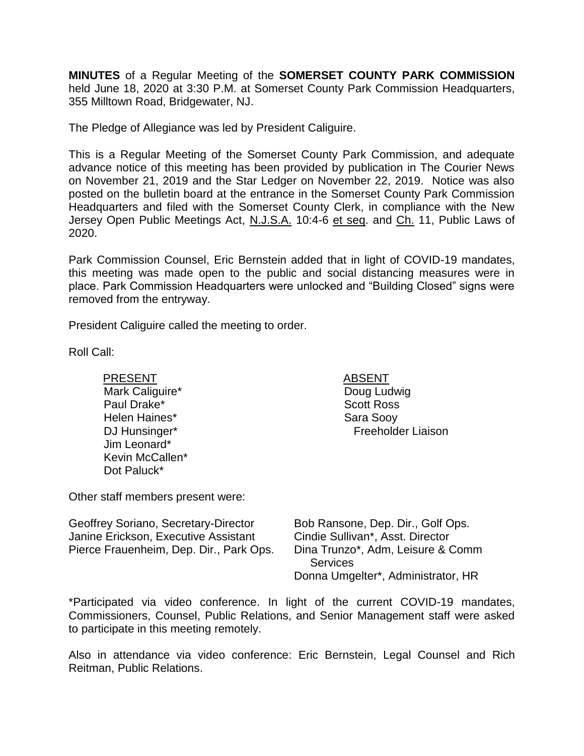**MINUTES** of a Regular Meeting of the **SOMERSET COUNTY PARK COMMISSION** held June 18, 2020 at 3:30 P.M. at Somerset County Park Commission Headquarters, 355 Milltown Road, Bridgewater, NJ.

The Pledge of Allegiance was led by President Caliguire.

This is a Regular Meeting of the Somerset County Park Commission, and adequate advance notice of this meeting has been provided by publication in The Courier News on November 21, 2019 and the Star Ledger on November 22, 2019. Notice was also posted on the bulletin board at the entrance in the Somerset County Park Commission Headquarters and filed with the Somerset County Clerk, in compliance with the New Jersey Open Public Meetings Act, N.J.S.A. 10:4-6 et seq. and Ch. 11, Public Laws of 2020.

Park Commission Counsel, Eric Bernstein added that in light of COVID-19 mandates, this meeting was made open to the public and social distancing measures were in place. Park Commission Headquarters were unlocked and "Building Closed" signs were removed from the entryway.

President Caliguire called the meeting to order.

Roll Call:

PRESENT ABSENT Mark Caliguire\* Paul Drake\* Helen Haines\* DJ Hunsinger\* Jim Leonard\* Kevin McCallen\* Dot Paluck\*

Doug Ludwig Scott Ross Sara Sooy Freeholder Liaison

Other staff members present were:

| Geoffrey Soriano, Secretary-Director    | Bob Ransone, Dep. Dir., Golf Ops.  |
|-----------------------------------------|------------------------------------|
| Janine Erickson, Executive Assistant    | Cindie Sullivan*, Asst. Director   |
| Pierce Frauenheim, Dep. Dir., Park Ops. | Dina Trunzo*, Adm, Leisure & Comm  |
|                                         | <b>Services</b>                    |
|                                         | Donna Umgelter*, Administrator, HR |

\*Participated via video conference. In light of the current COVID-19 mandates, Commissioners, Counsel, Public Relations, and Senior Management staff were asked to participate in this meeting remotely.

Also in attendance via video conference: Eric Bernstein, Legal Counsel and Rich Reitman, Public Relations.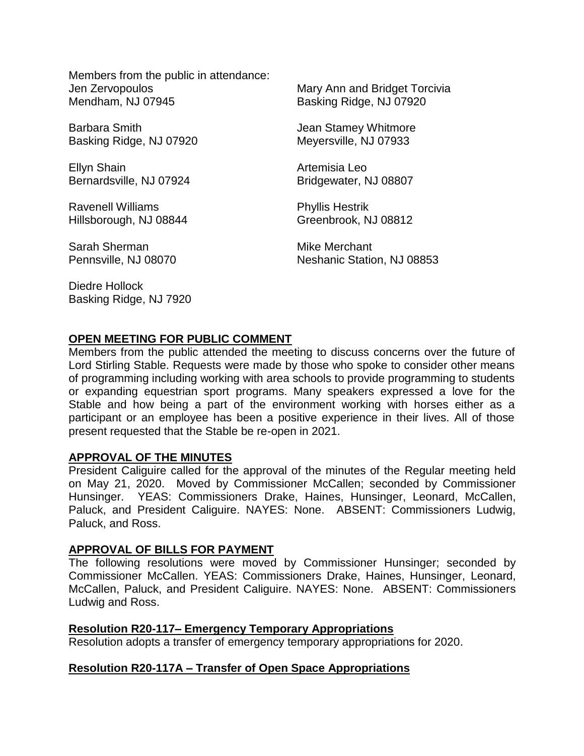Members from the public in attendance: Jen Zervopoulos Mendham, NJ 07945

Barbara Smith Basking Ridge, NJ 07920

Ellyn Shain Bernardsville, NJ 07924

Ravenell Williams Hillsborough, NJ 08844

Sarah Sherman Pennsville, NJ 08070

Diedre Hollock Basking Ridge, NJ 7920 Mary Ann and Bridget Torcivia Basking Ridge, NJ 07920

Jean Stamey Whitmore Meyersville, NJ 07933

Artemisia Leo Bridgewater, NJ 08807

Phyllis Hestrik Greenbrook, NJ 08812

Mike Merchant Neshanic Station, NJ 08853

## **OPEN MEETING FOR PUBLIC COMMENT**

Members from the public attended the meeting to discuss concerns over the future of Lord Stirling Stable. Requests were made by those who spoke to consider other means of programming including working with area schools to provide programming to students or expanding equestrian sport programs. Many speakers expressed a love for the Stable and how being a part of the environment working with horses either as a participant or an employee has been a positive experience in their lives. All of those present requested that the Stable be re-open in 2021.

#### **APPROVAL OF THE MINUTES**

President Caliguire called for the approval of the minutes of the Regular meeting held on May 21, 2020. Moved by Commissioner McCallen; seconded by Commissioner Hunsinger. YEAS: Commissioners Drake, Haines, Hunsinger, Leonard, McCallen, Paluck, and President Caliguire. NAYES: None. ABSENT: Commissioners Ludwig, Paluck, and Ross.

#### **APPROVAL OF BILLS FOR PAYMENT**

The following resolutions were moved by Commissioner Hunsinger; seconded by Commissioner McCallen. YEAS: Commissioners Drake, Haines, Hunsinger, Leonard, McCallen, Paluck, and President Caliguire. NAYES: None. ABSENT: Commissioners Ludwig and Ross.

#### **Resolution R20-117– Emergency Temporary Appropriations**

Resolution adopts a transfer of emergency temporary appropriations for 2020.

#### **Resolution R20-117A – Transfer of Open Space Appropriations**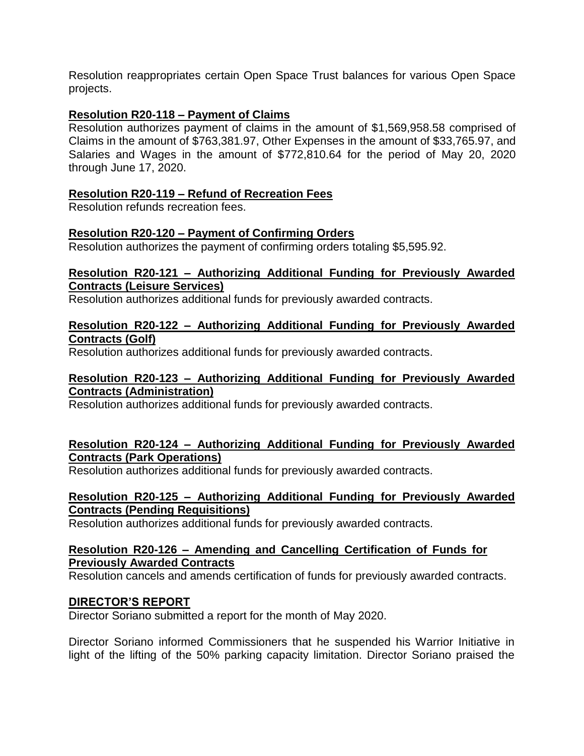Resolution reappropriates certain Open Space Trust balances for various Open Space projects.

### **Resolution R20-118 – Payment of Claims**

Resolution authorizes payment of claims in the amount of \$1,569,958.58 comprised of Claims in the amount of \$763,381.97, Other Expenses in the amount of \$33,765.97, and Salaries and Wages in the amount of \$772,810.64 for the period of May 20, 2020 through June 17, 2020.

### **Resolution R20-119 – Refund of Recreation Fees**

Resolution refunds recreation fees.

#### **Resolution R20-120 – Payment of Confirming Orders**

Resolution authorizes the payment of confirming orders totaling \$5,595.92.

#### **Resolution R20-121 – Authorizing Additional Funding for Previously Awarded Contracts (Leisure Services)**

Resolution authorizes additional funds for previously awarded contracts.

### **Resolution R20-122 – Authorizing Additional Funding for Previously Awarded Contracts (Golf)**

Resolution authorizes additional funds for previously awarded contracts.

### **Resolution R20-123 – Authorizing Additional Funding for Previously Awarded Contracts (Administration)**

Resolution authorizes additional funds for previously awarded contracts.

### **Resolution R20-124 – Authorizing Additional Funding for Previously Awarded Contracts (Park Operations)**

Resolution authorizes additional funds for previously awarded contracts.

### **Resolution R20-125 – Authorizing Additional Funding for Previously Awarded Contracts (Pending Requisitions)**

Resolution authorizes additional funds for previously awarded contracts.

### **Resolution R20-126 – Amending and Cancelling Certification of Funds for Previously Awarded Contracts**

Resolution cancels and amends certification of funds for previously awarded contracts.

### **DIRECTOR'S REPORT**

Director Soriano submitted a report for the month of May 2020.

Director Soriano informed Commissioners that he suspended his Warrior Initiative in light of the lifting of the 50% parking capacity limitation. Director Soriano praised the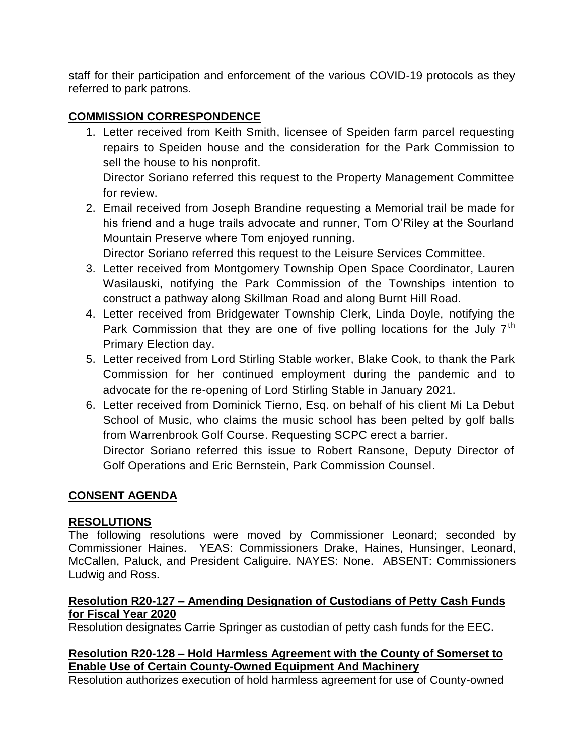staff for their participation and enforcement of the various COVID-19 protocols as they referred to park patrons.

## **COMMISSION CORRESPONDENCE**

1. Letter received from Keith Smith, licensee of Speiden farm parcel requesting repairs to Speiden house and the consideration for the Park Commission to sell the house to his nonprofit.

Director Soriano referred this request to the Property Management Committee for review.

2. Email received from Joseph Brandine requesting a Memorial trail be made for his friend and a huge trails advocate and runner, Tom O'Riley at the Sourland Mountain Preserve where Tom enjoyed running.

Director Soriano referred this request to the Leisure Services Committee.

- 3. Letter received from Montgomery Township Open Space Coordinator, Lauren Wasilauski, notifying the Park Commission of the Townships intention to construct a pathway along Skillman Road and along Burnt Hill Road.
- 4. Letter received from Bridgewater Township Clerk, Linda Doyle, notifying the Park Commission that they are one of five polling locations for the July  $7<sup>th</sup>$ Primary Election day.
- 5. Letter received from Lord Stirling Stable worker, Blake Cook, to thank the Park Commission for her continued employment during the pandemic and to advocate for the re-opening of Lord Stirling Stable in January 2021.
- 6. Letter received from Dominick Tierno, Esq. on behalf of his client Mi La Debut School of Music, who claims the music school has been pelted by golf balls from Warrenbrook Golf Course. Requesting SCPC erect a barrier.

Director Soriano referred this issue to Robert Ransone, Deputy Director of Golf Operations and Eric Bernstein, Park Commission Counsel.

## **CONSENT AGENDA**

## **RESOLUTIONS**

The following resolutions were moved by Commissioner Leonard; seconded by Commissioner Haines. YEAS: Commissioners Drake, Haines, Hunsinger, Leonard, McCallen, Paluck, and President Caliguire. NAYES: None. ABSENT: Commissioners Ludwig and Ross.

### **Resolution R20-127 – Amending Designation of Custodians of Petty Cash Funds for Fiscal Year 2020**

Resolution designates Carrie Springer as custodian of petty cash funds for the EEC.

## **Resolution R20-128 – Hold Harmless Agreement with the County of Somerset to Enable Use of Certain County-Owned Equipment And Machinery**

Resolution authorizes execution of hold harmless agreement for use of County-owned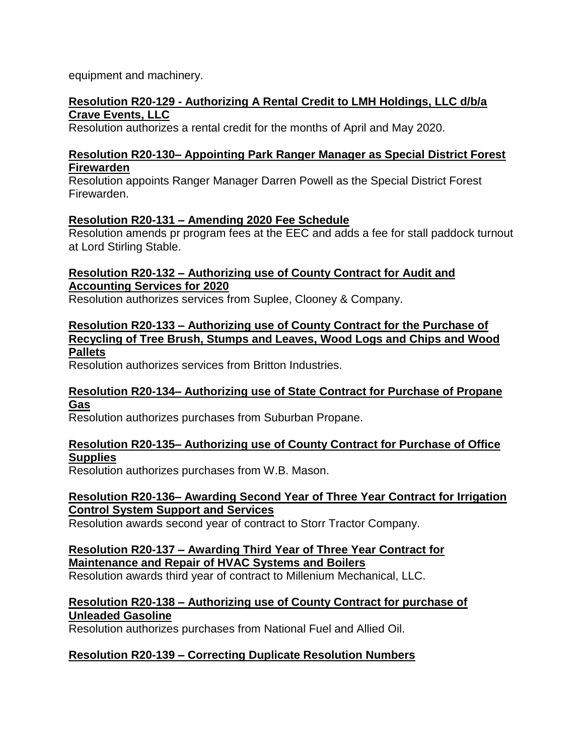equipment and machinery.

### **Resolution R20-129 - Authorizing A Rental Credit to LMH Holdings, LLC d/b/a Crave Events, LLC**

Resolution authorizes a rental credit for the months of April and May 2020.

## **Resolution R20-130– Appointing Park Ranger Manager as Special District Forest Firewarden**

Resolution appoints Ranger Manager Darren Powell as the Special District Forest Firewarden.

## **Resolution R20-131 – Amending 2020 Fee Schedule**

Resolution amends pr program fees at the EEC and adds a fee for stall paddock turnout at Lord Stirling Stable.

### **Resolution R20-132 – Authorizing use of County Contract for Audit and Accounting Services for 2020**

Resolution authorizes services from Suplee, Clooney & Company.

## **Resolution R20-133 – Authorizing use of County Contract for the Purchase of Recycling of Tree Brush, Stumps and Leaves, Wood Logs and Chips and Wood Pallets**

Resolution authorizes services from Britton Industries.

## **Resolution R20-134– Authorizing use of State Contract for Purchase of Propane Gas**

Resolution authorizes purchases from Suburban Propane.

## **Resolution R20-135– Authorizing use of County Contract for Purchase of Office Supplies**

Resolution authorizes purchases from W.B. Mason.

### **Resolution R20-136– Awarding Second Year of Three Year Contract for Irrigation Control System Support and Services**

Resolution awards second year of contract to Storr Tractor Company.

### **Resolution R20-137 – Awarding Third Year of Three Year Contract for Maintenance and Repair of HVAC Systems and Boilers**

Resolution awards third year of contract to Millenium Mechanical, LLC.

## **Resolution R20-138 – Authorizing use of County Contract for purchase of Unleaded Gasoline**

Resolution authorizes purchases from National Fuel and Allied Oil.

## **Resolution R20-139 – Correcting Duplicate Resolution Numbers**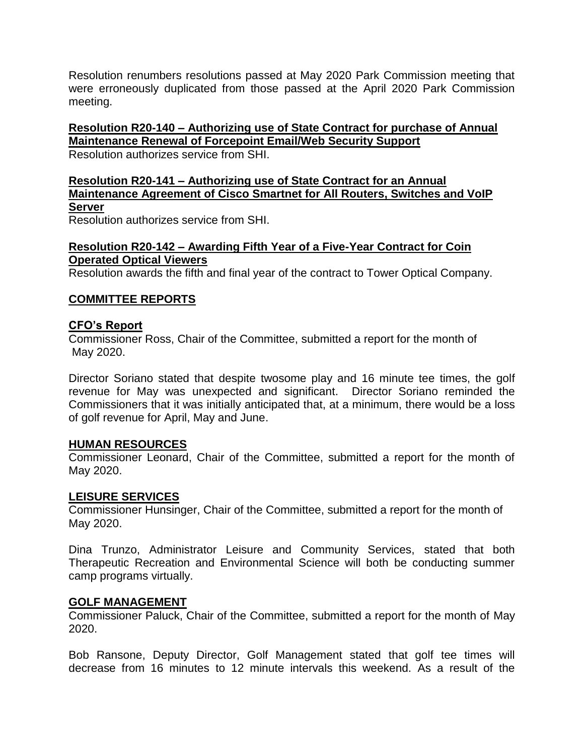Resolution renumbers resolutions passed at May 2020 Park Commission meeting that were erroneously duplicated from those passed at the April 2020 Park Commission meeting.

**Resolution R20-140 – Authorizing use of State Contract for purchase of Annual Maintenance Renewal of Forcepoint Email/Web Security Support** Resolution authorizes service from SHI.

# **Resolution R20-141 – Authorizing use of State Contract for an Annual Maintenance Agreement of Cisco Smartnet for All Routers, Switches and VoIP Server**

Resolution authorizes service from SHI.

## **Resolution R20-142 – Awarding Fifth Year of a Five-Year Contract for Coin Operated Optical Viewers**

Resolution awards the fifth and final year of the contract to Tower Optical Company.

## **COMMITTEE REPORTS**

## **CFO's Report**

Commissioner Ross, Chair of the Committee, submitted a report for the month of May 2020.

Director Soriano stated that despite twosome play and 16 minute tee times, the golf revenue for May was unexpected and significant. Director Soriano reminded the Commissioners that it was initially anticipated that, at a minimum, there would be a loss of golf revenue for April, May and June.

### **HUMAN RESOURCES**

Commissioner Leonard, Chair of the Committee, submitted a report for the month of May 2020.

### **LEISURE SERVICES**

Commissioner Hunsinger, Chair of the Committee, submitted a report for the month of May 2020.

Dina Trunzo, Administrator Leisure and Community Services, stated that both Therapeutic Recreation and Environmental Science will both be conducting summer camp programs virtually.

### **GOLF MANAGEMENT**

Commissioner Paluck, Chair of the Committee, submitted a report for the month of May 2020.

Bob Ransone, Deputy Director, Golf Management stated that golf tee times will decrease from 16 minutes to 12 minute intervals this weekend. As a result of the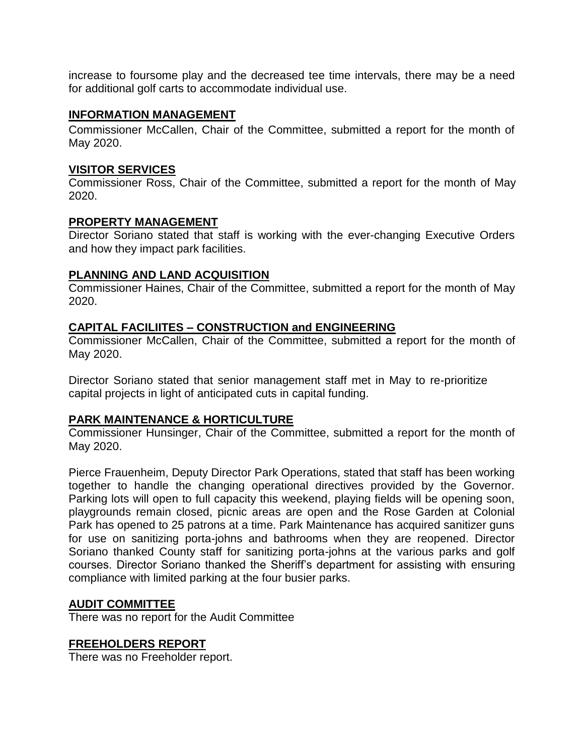increase to foursome play and the decreased tee time intervals, there may be a need for additional golf carts to accommodate individual use.

#### **INFORMATION MANAGEMENT**

Commissioner McCallen, Chair of the Committee, submitted a report for the month of May 2020.

### **VISITOR SERVICES**

Commissioner Ross, Chair of the Committee, submitted a report for the month of May 2020.

### **PROPERTY MANAGEMENT**

Director Soriano stated that staff is working with the ever-changing Executive Orders and how they impact park facilities.

### **PLANNING AND LAND ACQUISITION**

Commissioner Haines, Chair of the Committee, submitted a report for the month of May 2020.

### **CAPITAL FACILIITES – CONSTRUCTION and ENGINEERING**

Commissioner McCallen, Chair of the Committee, submitted a report for the month of May 2020.

Director Soriano stated that senior management staff met in May to re-prioritize capital projects in light of anticipated cuts in capital funding.

### **PARK MAINTENANCE & HORTICULTURE**

Commissioner Hunsinger, Chair of the Committee, submitted a report for the month of May 2020.

Pierce Frauenheim, Deputy Director Park Operations, stated that staff has been working together to handle the changing operational directives provided by the Governor. Parking lots will open to full capacity this weekend, playing fields will be opening soon, playgrounds remain closed, picnic areas are open and the Rose Garden at Colonial Park has opened to 25 patrons at a time. Park Maintenance has acquired sanitizer guns for use on sanitizing porta-johns and bathrooms when they are reopened. Director Soriano thanked County staff for sanitizing porta-johns at the various parks and golf courses. Director Soriano thanked the Sheriff's department for assisting with ensuring compliance with limited parking at the four busier parks.

#### **AUDIT COMMITTEE**

There was no report for the Audit Committee

#### **FREEHOLDERS REPORT**

There was no Freeholder report.